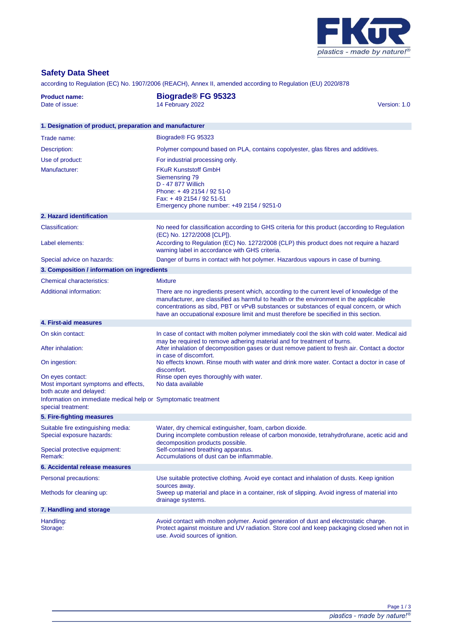

## **Safety Data Sheet**

according to Regulation (EC) No. 1907/2006 (REACH), Annex II, amended according to Regulation (EU) 2020/878

| <b>Product name:</b><br>Date of issue:                                               | <b>Biograde® FG 95323</b><br>14 February 2022<br>Version: 1.0                                                                                                                                                                                                                                                                                                           |  |  |  |
|--------------------------------------------------------------------------------------|-------------------------------------------------------------------------------------------------------------------------------------------------------------------------------------------------------------------------------------------------------------------------------------------------------------------------------------------------------------------------|--|--|--|
| 1. Designation of product, preparation and manufacturer                              |                                                                                                                                                                                                                                                                                                                                                                         |  |  |  |
| Trade name:                                                                          | Biograde® FG 95323                                                                                                                                                                                                                                                                                                                                                      |  |  |  |
| Description:                                                                         | Polymer compound based on PLA, contains copolyester, glas fibres and additives.                                                                                                                                                                                                                                                                                         |  |  |  |
| Use of product:                                                                      | For industrial processing only.                                                                                                                                                                                                                                                                                                                                         |  |  |  |
| Manufacturer:                                                                        | <b>FKuR Kunststoff GmbH</b><br>Siemensring 79<br>D - 47 877 Willich<br>Phone: +49 2154 / 92 51-0<br>Fax: +49 2154 / 92 51-51<br>Emergency phone number: +49 2154 / 9251-0                                                                                                                                                                                               |  |  |  |
| 2. Hazard identification                                                             |                                                                                                                                                                                                                                                                                                                                                                         |  |  |  |
| <b>Classification:</b>                                                               | No need for classification according to GHS criteria for this product (according to Regulation<br>(EC) No. 1272/2008 [CLP]).                                                                                                                                                                                                                                            |  |  |  |
| Label elements:                                                                      | According to Regulation (EC) No. 1272/2008 (CLP) this product does not require a hazard<br>warning label in accordance with GHS criteria.                                                                                                                                                                                                                               |  |  |  |
| Special advice on hazards:                                                           | Danger of burns in contact with hot polymer. Hazardous vapours in case of burning.                                                                                                                                                                                                                                                                                      |  |  |  |
| 3. Composition / information on ingredients                                          |                                                                                                                                                                                                                                                                                                                                                                         |  |  |  |
| Chemical characteristics:                                                            | <b>Mixture</b>                                                                                                                                                                                                                                                                                                                                                          |  |  |  |
| <b>Additional information:</b>                                                       | There are no ingredients present which, according to the current level of knowledge of the<br>manufacturer, are classified as harmful to health or the environment in the applicable<br>concentrations as sibd, PBT or vPvB substances or substances of equal concern, or which<br>have an occupational exposure limit and must therefore be specified in this section. |  |  |  |
| 4. First-aid measures                                                                |                                                                                                                                                                                                                                                                                                                                                                         |  |  |  |
| On skin contact:<br>After inhalation:                                                | In case of contact with molten polymer immediately cool the skin with cold water. Medical aid<br>may be required to remove adhering material and for treatment of burns.<br>After inhalation of decomposition gases or dust remove patient to fresh air. Contact a doctor<br>in case of discomfort.                                                                     |  |  |  |
| On ingestion:                                                                        | No effects known. Rinse mouth with water and drink more water. Contact a doctor in case of<br>discomfort.                                                                                                                                                                                                                                                               |  |  |  |
| On eyes contact:<br>Most important symptoms and effects,<br>both acute and delayed:  | Rinse open eyes thoroughly with water.<br>No data available                                                                                                                                                                                                                                                                                                             |  |  |  |
| Information on immediate medical help or Symptomatic treatment<br>special treatment: |                                                                                                                                                                                                                                                                                                                                                                         |  |  |  |
| 5. Fire-fighting measures                                                            |                                                                                                                                                                                                                                                                                                                                                                         |  |  |  |
| Suitable fire extinguishing media:<br>Special exposure hazards:                      | Water, dry chemical extinguisher, foam, carbon dioxide<br>During incomplete combustion release of carbon monoxide, tetrahydrofurane, acetic acid and<br>decomposition products possible.                                                                                                                                                                                |  |  |  |
| Special protective equipment:<br>Remark:                                             | Self-contained breathing apparatus.<br>Accumulations of dust can be inflammable.                                                                                                                                                                                                                                                                                        |  |  |  |
| 6. Accidental release measures                                                       |                                                                                                                                                                                                                                                                                                                                                                         |  |  |  |
| Personal precautions:                                                                | Use suitable protective clothing. Avoid eye contact and inhalation of dusts. Keep ignition<br>sources away.                                                                                                                                                                                                                                                             |  |  |  |
| Methods for cleaning up:                                                             | Sweep up material and place in a container, risk of slipping. Avoid ingress of material into<br>drainage systems.                                                                                                                                                                                                                                                       |  |  |  |
| 7. Handling and storage                                                              |                                                                                                                                                                                                                                                                                                                                                                         |  |  |  |
| Handling:<br>Storage:                                                                | Avoid contact with molten polymer. Avoid generation of dust and electrostatic charge.<br>Protect against moisture and UV radiation. Store cool and keep packaging closed when not in<br>use. Avoid sources of ignition.                                                                                                                                                 |  |  |  |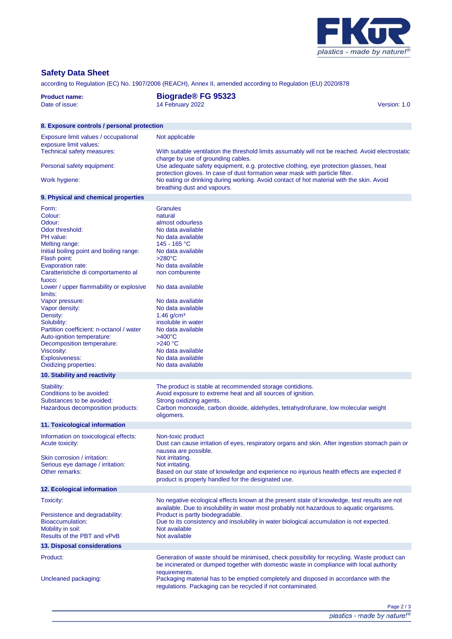

## **Safety Data Sheet**

according to Regulation (EC) No. 1907/2006 (REACH), Annex II, amended according to Regulation (EU) 2020/878

| <b>Product name:</b><br>Date of issue:                                                                                                                                                                                                                                                                                                                                                                                                                                       | <b>Biograde® FG 95323</b><br>14 February 2022<br>Version: 1.0                                                                                                                                                                                                                                                                                                                                             |  |  |  |
|------------------------------------------------------------------------------------------------------------------------------------------------------------------------------------------------------------------------------------------------------------------------------------------------------------------------------------------------------------------------------------------------------------------------------------------------------------------------------|-----------------------------------------------------------------------------------------------------------------------------------------------------------------------------------------------------------------------------------------------------------------------------------------------------------------------------------------------------------------------------------------------------------|--|--|--|
| 8. Exposure controls / personal protection                                                                                                                                                                                                                                                                                                                                                                                                                                   |                                                                                                                                                                                                                                                                                                                                                                                                           |  |  |  |
| Exposure limit values / occupational<br>exposure limit values:<br>Technical safety measures:                                                                                                                                                                                                                                                                                                                                                                                 | Not applicable<br>With suitable ventilation the threshold limits assumably will not be reached. Avoid electrostatic                                                                                                                                                                                                                                                                                       |  |  |  |
| Personal safety equipment:                                                                                                                                                                                                                                                                                                                                                                                                                                                   | charge by use of grounding cables.<br>Use adequate safety equipment, e.g. protective clothing, eye protection glasses, heat<br>protection gloves. In case of dust formation wear mask with particle filter.                                                                                                                                                                                               |  |  |  |
| Work hygiene:                                                                                                                                                                                                                                                                                                                                                                                                                                                                | No eating or drinking during working. Avoid contact of hot material with the skin. Avoid<br>breathing dust and vapours.                                                                                                                                                                                                                                                                                   |  |  |  |
| 9. Physical and chemical properties                                                                                                                                                                                                                                                                                                                                                                                                                                          |                                                                                                                                                                                                                                                                                                                                                                                                           |  |  |  |
| Form:<br>Colour:<br>Odour:<br>Odor threshold:<br>PH value:<br>Melting range:<br>Initial boiling point and boiling range:<br>Flash point:<br>Evaporation rate:<br>Caratteristiche di comportamento al<br>fuoco:<br>Lower / upper flammability or explosive<br>limits:<br>Vapor pressure:<br>Vapor density:<br>Density:<br>Solubility:<br>Partition coefficient: n-octanol / water<br>Auto-ignition temperature:<br>Decomposition temperature:<br>Viscosity:<br>Explosiveness: | <b>Granules</b><br>natural<br>almost odourless<br>No data available<br>No data available<br>145 - 165 °C<br>No data available<br>$>280^{\circ}$ C<br>No data available<br>non comburente<br>No data available<br>No data available<br>No data available<br>$1.46$ g/cm <sup>3</sup><br>insoluble in water<br>No data available<br>$>400^{\circ}$ C<br>$>240$ °C<br>No data available<br>No data available |  |  |  |
| Oxidizing properties:                                                                                                                                                                                                                                                                                                                                                                                                                                                        | No data available                                                                                                                                                                                                                                                                                                                                                                                         |  |  |  |
| 10. Stability and reactivity                                                                                                                                                                                                                                                                                                                                                                                                                                                 |                                                                                                                                                                                                                                                                                                                                                                                                           |  |  |  |
| Stability:<br>Conditions to be avoided:<br>Substances to be avoided:<br>Hazardous decomposition products:                                                                                                                                                                                                                                                                                                                                                                    | The product is stable at recommended storage contidions.<br>Avoid exposure to extreme heat and all sources of ignition.<br>Strong oxidizing agents.<br>Carbon monoxide, carbon dioxide, aldehydes, tetrahydrofurane, low molecular weight<br>oligomers.                                                                                                                                                   |  |  |  |
| 11. Toxicological information                                                                                                                                                                                                                                                                                                                                                                                                                                                |                                                                                                                                                                                                                                                                                                                                                                                                           |  |  |  |
| Information on toxicological effects:<br>Acute toxicity:<br>Skin corrosion / irritation:<br>Serious eye damage / irritation:<br>Other remarks:                                                                                                                                                                                                                                                                                                                               | Non-toxic product<br>Dust can cause irritation of eyes, respiratory organs and skin. After ingestion stomach pain or<br>nausea are possible.<br>Not irritating.<br>Not irritating.<br>Based on our state of knowledge and experience no injurious health effects are expected if<br>product is properly handled for the designated use.                                                                   |  |  |  |
| 12. Ecological information                                                                                                                                                                                                                                                                                                                                                                                                                                                   |                                                                                                                                                                                                                                                                                                                                                                                                           |  |  |  |
| Toxicity:<br>Persistence and degradability:                                                                                                                                                                                                                                                                                                                                                                                                                                  | No negative ecological effects known at the present state of knowledge, test results are not<br>available. Due to insolubility in water most probably not hazardous to aquatic organisms.<br>Product is partly biodegradable.                                                                                                                                                                             |  |  |  |
| Bioaccumulation:<br>Mobility in soil:<br>Results of the PBT and vPvB                                                                                                                                                                                                                                                                                                                                                                                                         | Due to its consistency and insolubility in water biological accumulation is not expected.<br>Not available<br>Not available                                                                                                                                                                                                                                                                               |  |  |  |
| 13. Disposal considerations                                                                                                                                                                                                                                                                                                                                                                                                                                                  |                                                                                                                                                                                                                                                                                                                                                                                                           |  |  |  |
| Product:<br>Uncleaned packaging:                                                                                                                                                                                                                                                                                                                                                                                                                                             | Generation of waste should be minimised, check possibility for recycling. Waste product can<br>be incinerated or dumped together with domestic waste in compliance with local authority<br>requirements.<br>Packaging material has to be emptied completely and disposed in accordance with the<br>regulations. Packaging can be recycled if not contaminated.                                            |  |  |  |